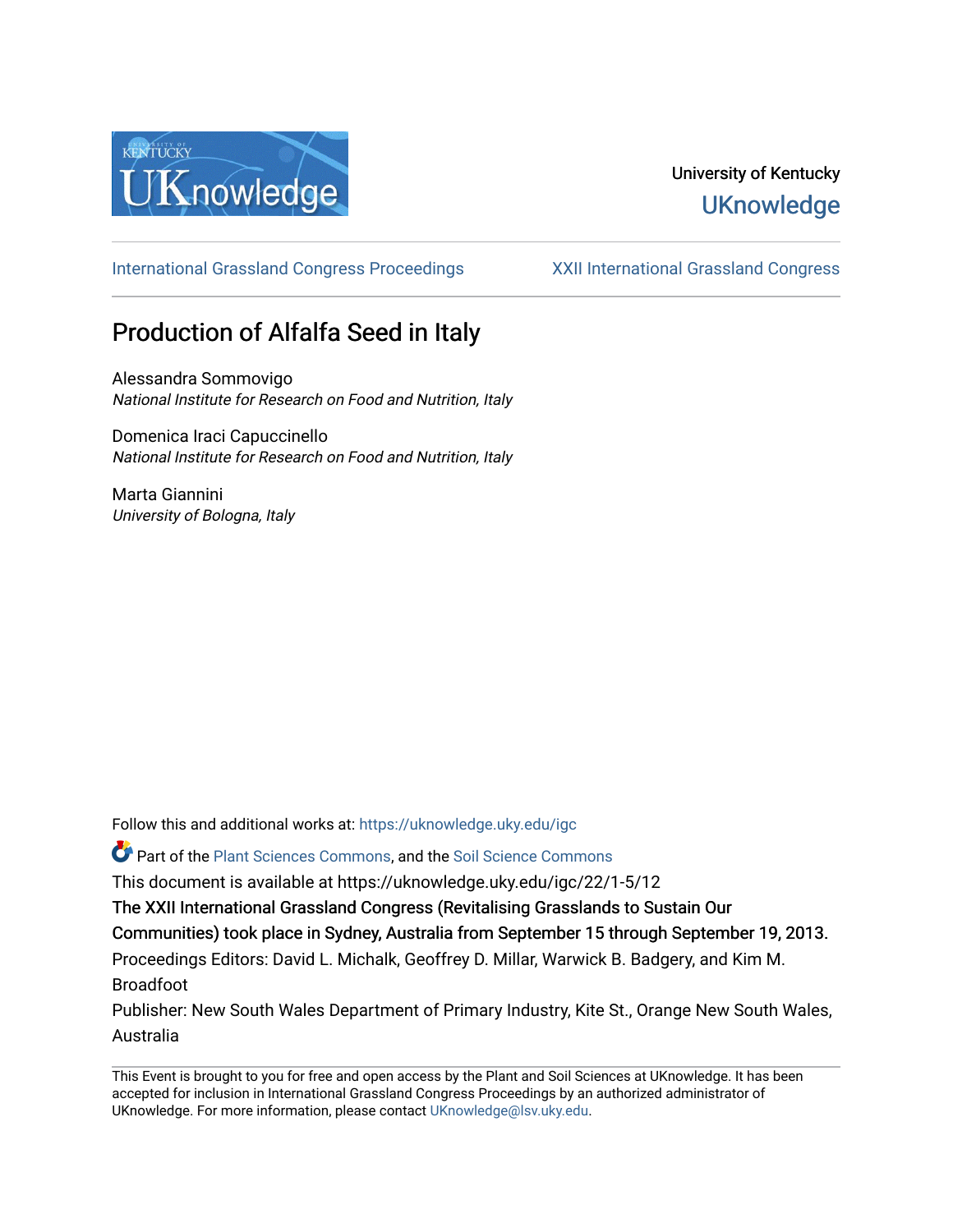

## University of Kentucky **UKnowledge**

[International Grassland Congress Proceedings](https://uknowledge.uky.edu/igc) [XXII International Grassland Congress](https://uknowledge.uky.edu/igc/22) 

# Production of Alfalfa Seed in Italy

Alessandra Sommovigo National Institute for Research on Food and Nutrition, Italy

Domenica Iraci Capuccinello National Institute for Research on Food and Nutrition, Italy

Marta Giannini University of Bologna, Italy

Follow this and additional works at: [https://uknowledge.uky.edu/igc](https://uknowledge.uky.edu/igc?utm_source=uknowledge.uky.edu%2Figc%2F22%2F1-5%2F12&utm_medium=PDF&utm_campaign=PDFCoverPages) 

Part of the [Plant Sciences Commons](http://network.bepress.com/hgg/discipline/102?utm_source=uknowledge.uky.edu%2Figc%2F22%2F1-5%2F12&utm_medium=PDF&utm_campaign=PDFCoverPages), and the [Soil Science Commons](http://network.bepress.com/hgg/discipline/163?utm_source=uknowledge.uky.edu%2Figc%2F22%2F1-5%2F12&utm_medium=PDF&utm_campaign=PDFCoverPages) 

This document is available at https://uknowledge.uky.edu/igc/22/1-5/12

The XXII International Grassland Congress (Revitalising Grasslands to Sustain Our

Communities) took place in Sydney, Australia from September 15 through September 19, 2013.

Proceedings Editors: David L. Michalk, Geoffrey D. Millar, Warwick B. Badgery, and Kim M. Broadfoot

Publisher: New South Wales Department of Primary Industry, Kite St., Orange New South Wales, Australia

This Event is brought to you for free and open access by the Plant and Soil Sciences at UKnowledge. It has been accepted for inclusion in International Grassland Congress Proceedings by an authorized administrator of UKnowledge. For more information, please contact [UKnowledge@lsv.uky.edu](mailto:UKnowledge@lsv.uky.edu).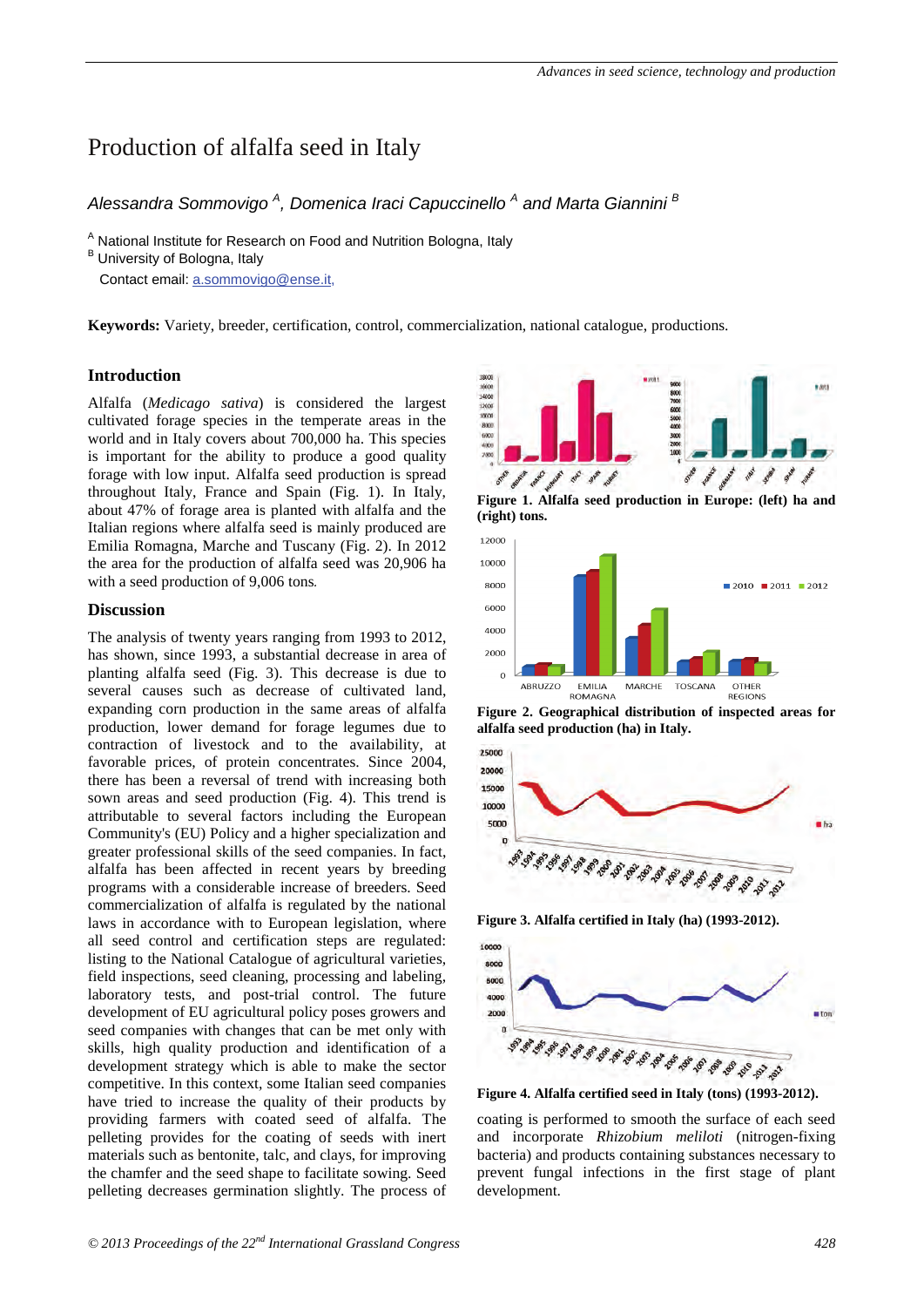## Production of alfalfa seed in Italy

### *Alessandra Sommovigo A , Domenica Iraci Capuccinello <sup>A</sup> and Marta Giannini <sup>B</sup>*

 $A$  National Institute for Research on Food and Nutrition Bologna, Italy  $B$  University of Bologna, Italy

Contact email: a.sommovigo@ense.it,

**Keywords:** Variety, breeder, certification, control, commercialization, national catalogue, productions.

#### **Introduction**

Alfalfa (*Medicago sativa*) is considered the largest cultivated forage species in the temperate areas in the world and in Italy covers about 700,000 ha. This species is important for the ability to produce a good quality forage with low input. Alfalfa seed production is spread throughout Italy, France and Spain (Fig. 1). In Italy, about 47% of forage area is planted with alfalfa and the Italian regions where alfalfa seed is mainly produced are Emilia Romagna, Marche and Tuscany (Fig. 2). In 2012 the area for the production of alfalfa seed was 20,906 ha with a seed production of 9,006 tons*.* 

#### **Discussion**

The analysis of twenty years ranging from 1993 to 2012, has shown, since 1993, a substantial decrease in area of planting alfalfa seed (Fig. 3). This decrease is due to several causes such as decrease of cultivated land, expanding corn production in the same areas of alfalfa production, lower demand for forage legumes due to contraction of livestock and to the availability, at favorable prices, of protein concentrates. Since 2004, there has been a reversal of trend with increasing both sown areas and seed production (Fig. 4). This trend is attributable to several factors including the European Community's (EU) Policy and a higher specialization and greater professional skills of the seed companies. In fact, alfalfa has been affected in recent years by breeding programs with a considerable increase of breeders. Seed commercialization of alfalfa is regulated by the national laws in accordance with to European legislation, where all seed control and certification steps are regulated: listing to the National Catalogue of agricultural varieties, field inspections, seed cleaning, processing and labeling, laboratory tests, and post-trial control. The future development of EU agricultural policy poses growers and seed companies with changes that can be met only with skills, high quality production and identification of a development strategy which is able to make the sector competitive. In this context, some Italian seed companies have tried to increase the quality of their products by providing farmers with coated seed of alfalfa. The pelleting provides for the coating of seeds with inert materials such as bentonite, talc, and clays, for improving the chamfer and the seed shape to facilitate sowing. Seed pelleting decreases germination slightly. The process of



**Figure 1. Alfalfa seed production in Europe: (left) ha and (right) tons.** 



**Figure 2. Geographical distribution of inspected areas for alfalfa seed production (ha) in Italy.** 



**Figure 3. Alfalfa certified in Italy (ha) (1993-2012).** 



**Figure 4. Alfalfa certified seed in Italy (tons) (1993-2012).** 

coating is performed to smooth the surface of each seed and incorporate *Rhizobium meliloti* (nitrogen-fixing bacteria) and products containing substances necessary to prevent fungal infections in the first stage of plant development.